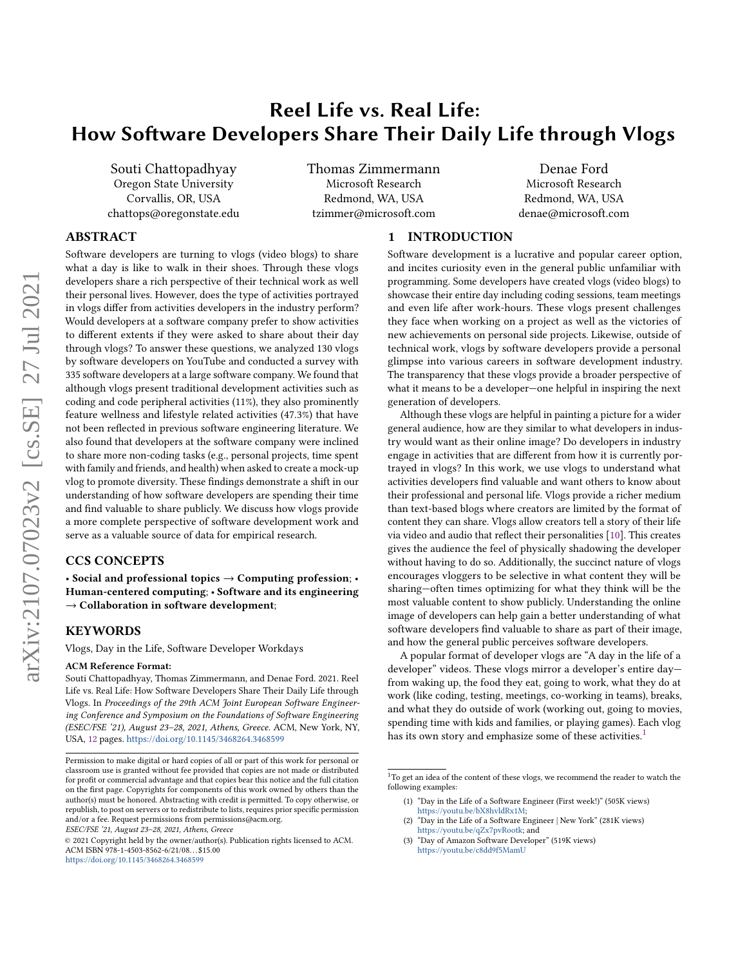# Reel Life vs. Real Life: How Software Developers Share Their Daily Life through Vlogs

Souti Chattopadhyay Oregon State University Corvallis, OR, USA chattops@oregonstate.edu Thomas Zimmermann Microsoft Research Redmond, WA, USA tzimmer@microsoft.com

Denae Ford Microsoft Research Redmond, WA, USA denae@microsoft.com

## ABSTRACT

Software developers are turning to vlogs (video blogs) to share what a day is like to walk in their shoes. Through these vlogs developers share a rich perspective of their technical work as well their personal lives. However, does the type of activities portrayed in vlogs differ from activities developers in the industry perform? Would developers at a software company prefer to show activities to different extents if they were asked to share about their day through vlogs? To answer these questions, we analyzed 130 vlogs by software developers on YouTube and conducted a survey with 335 software developers at a large software company. We found that although vlogs present traditional development activities such as coding and code peripheral activities (11%), they also prominently feature wellness and lifestyle related activities (47.3%) that have not been reflected in previous software engineering literature. We also found that developers at the software company were inclined to share more non-coding tasks (e.g., personal projects, time spent with family and friends, and health) when asked to create a mock-up vlog to promote diversity. These findings demonstrate a shift in our understanding of how software developers are spending their time and find valuable to share publicly. We discuss how vlogs provide a more complete perspective of software development work and serve as a valuable source of data for empirical research.

#### CCS CONCEPTS

• Social and professional topics  $\rightarrow$  Computing profession; Human-centered computing; • Software and its engineering  $\rightarrow$  Collaboration in software development;

#### KEYWORDS

Vlogs, Day in the Life, Software Developer Workdays

#### ACM Reference Format:

Souti Chattopadhyay, Thomas Zimmermann, and Denae Ford. 2021. Reel Life vs. Real Life: How Software Developers Share Their Daily Life through Vlogs. In Proceedings of the 29th ACM Joint European Software Engineering Conference and Symposium on the Foundations of Software Engineering (ESEC/FSE '21), August 23–28, 2021, Athens, Greece. ACM, New York, NY, USA, [12](#page-11-0) pages. <https://doi.org/10.1145/3468264.3468599>

## 1 INTRODUCTION

Software development is a lucrative and popular career option, and incites curiosity even in the general public unfamiliar with programming. Some developers have created vlogs (video blogs) to showcase their entire day including coding sessions, team meetings and even life after work-hours. These vlogs present challenges they face when working on a project as well as the victories of new achievements on personal side projects. Likewise, outside of technical work, vlogs by software developers provide a personal glimpse into various careers in software development industry. The transparency that these vlogs provide a broader perspective of what it means to be a developer—one helpful in inspiring the next generation of developers.

Although these vlogs are helpful in painting a picture for a wider general audience, how are they similar to what developers in industry would want as their online image? Do developers in industry engage in activities that are different from how it is currently portrayed in vlogs? In this work, we use vlogs to understand what activities developers find valuable and want others to know about their professional and personal life. Vlogs provide a richer medium than text-based blogs where creators are limited by the format of content they can share. Vlogs allow creators tell a story of their life via video and audio that reflect their personalities [\[10\]](#page-10-0). This creates gives the audience the feel of physically shadowing the developer without having to do so. Additionally, the succinct nature of vlogs encourages vloggers to be selective in what content they will be sharing—often times optimizing for what they think will be the most valuable content to show publicly. Understanding the online image of developers can help gain a better understanding of what software developers find valuable to share as part of their image, and how the general public perceives software developers.

A popular format of developer vlogs are "A day in the life of a developer" videos. These vlogs mirror a developer's entire day from waking up, the food they eat, going to work, what they do at work (like coding, testing, meetings, co-working in teams), breaks, and what they do outside of work (working out, going to movies, spending time with kids and families, or playing games). Each vlog has its own story and emphasize some of these activities.<sup>[1](#page-0-0)</sup>

Permission to make digital or hard copies of all or part of this work for personal or classroom use is granted without fee provided that copies are not made or distributed for profit or commercial advantage and that copies bear this notice and the full citation on the first page. Copyrights for components of this work owned by others than the author(s) must be honored. Abstracting with credit is permitted. To copy otherwise, or republish, to post on servers or to redistribute to lists, requires prior specific permission and/or a fee. Request permissions from permissions@acm.org.

ESEC/FSE '21, August 23–28, 2021, Athens, Greece

<sup>©</sup> 2021 Copyright held by the owner/author(s). Publication rights licensed to ACM. ACM ISBN 978-1-4503-8562-6/21/08. . . \$15.00 <https://doi.org/10.1145/3468264.3468599>

<span id="page-0-0"></span> $^1\!$  To get an idea of the content of these vlogs, we recommend the reader to watch the following examples:

<sup>(1)</sup> "Day in the Life of a Software Engineer (First week!)" (505K views)

[https://youtu.be/bX8hvldRx1M;](https://youtu.be/bX8hvldRx1M) (2) "Day in the Life of a Software Engineer | New York" (281K views) [https://youtu.be/qZx7pvRootk;](https://youtu.be/qZx7pvRootk) and

<sup>(3)</sup> "Day of Amazon Software Developer" (519K views) <https://youtu.be/c8dd9f5MamU>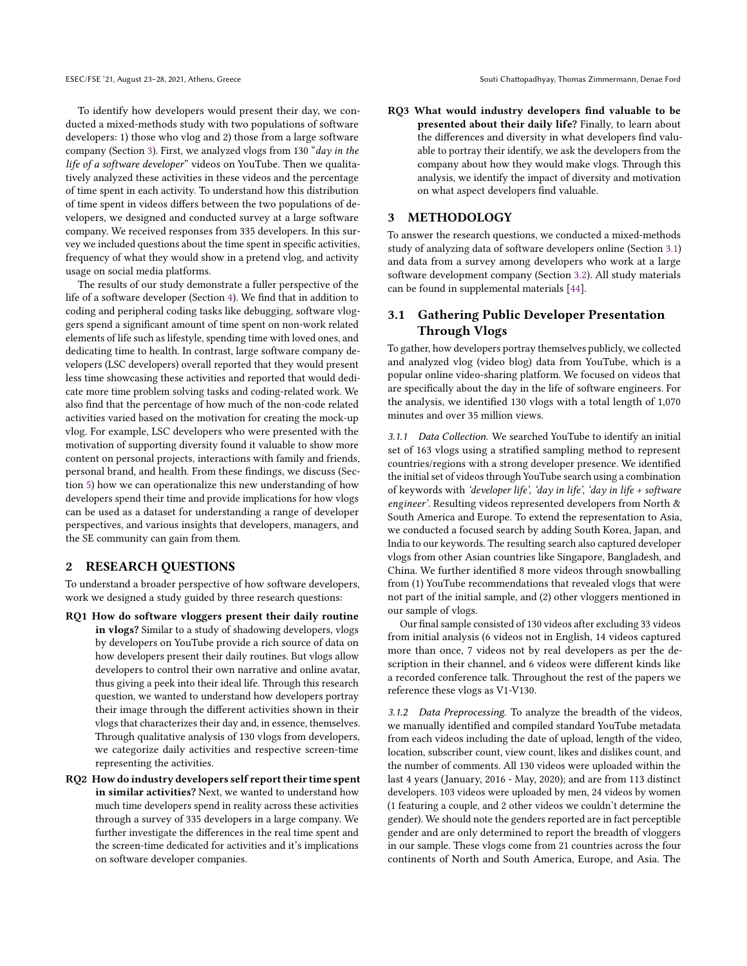To identify how developers would present their day, we conducted a mixed-methods study with two populations of software developers: 1) those who vlog and 2) those from a large software company (Section [3\)](#page-1-0). First, we analyzed vlogs from 130 "day in the life of a software developer" videos on YouTube. Then we qualitatively analyzed these activities in these videos and the percentage of time spent in each activity. To understand how this distribution of time spent in videos differs between the two populations of developers, we designed and conducted survey at a large software company. We received responses from 335 developers. In this survey we included questions about the time spent in specific activities, frequency of what they would show in a pretend vlog, and activity usage on social media platforms.

The results of our study demonstrate a fuller perspective of the life of a software developer (Section [4\)](#page-3-0). We find that in addition to coding and peripheral coding tasks like debugging, software vloggers spend a significant amount of time spent on non-work related elements of life such as lifestyle, spending time with loved ones, and dedicating time to health. In contrast, large software company developers (LSC developers) overall reported that they would present less time showcasing these activities and reported that would dedicate more time problem solving tasks and coding-related work. We also find that the percentage of how much of the non-code related activities varied based on the motivation for creating the mock-up vlog. For example, LSC developers who were presented with the motivation of supporting diversity found it valuable to show more content on personal projects, interactions with family and friends, personal brand, and health. From these findings, we discuss (Section [5\)](#page-7-0) how we can operationalize this new understanding of how developers spend their time and provide implications for how vlogs can be used as a dataset for understanding a range of developer perspectives, and various insights that developers, managers, and the SE community can gain from them.

#### 2 RESEARCH QUESTIONS

To understand a broader perspective of how software developers, work we designed a study guided by three research questions:

- RQ1 How do software vloggers present their daily routine in vlogs? Similar to a study of shadowing developers, vlogs by developers on YouTube provide a rich source of data on how developers present their daily routines. But vlogs allow developers to control their own narrative and online avatar, thus giving a peek into their ideal life. Through this research question, we wanted to understand how developers portray their image through the different activities shown in their vlogs that characterizes their day and, in essence, themselves. Through qualitative analysis of 130 vlogs from developers, we categorize daily activities and respective screen-time representing the activities.
- RQ2 How do industry developers self report their time spent in similar activities? Next, we wanted to understand how much time developers spend in reality across these activities through a survey of 335 developers in a large company. We further investigate the differences in the real time spent and the screen-time dedicated for activities and it's implications on software developer companies.

RQ3 What would industry developers find valuable to be presented about their daily life? Finally, to learn about the differences and diversity in what developers find valuable to portray their identify, we ask the developers from the company about how they would make vlogs. Through this analysis, we identify the impact of diversity and motivation on what aspect developers find valuable.

## <span id="page-1-0"></span>3 METHODOLOGY

To answer the research questions, we conducted a mixed-methods study of analyzing data of software developers online (Section [3.1\)](#page-1-1) and data from a survey among developers who work at a large software development company (Section [3.2\)](#page-2-0). All study materials can be found in supplemental materials [\[44\]](#page-11-1).

## <span id="page-1-1"></span>3.1 Gathering Public Developer Presentation Through Vlogs

To gather, how developers portray themselves publicly, we collected and analyzed vlog (video blog) data from YouTube, which is a popular online video-sharing platform. We focused on videos that are specifically about the day in the life of software engineers. For the analysis, we identified 130 vlogs with a total length of 1,070 minutes and over 35 million views.

3.1.1 Data Collection. We searched YouTube to identify an initial set of 163 vlogs using a stratified sampling method to represent countries/regions with a strong developer presence. We identified the initial set of videos through YouTube search using a combination of keywords with 'developer life', 'day in life', 'day in life + software engineer'. Resulting videos represented developers from North & South America and Europe. To extend the representation to Asia, we conducted a focused search by adding South Korea, Japan, and India to our keywords. The resulting search also captured developer vlogs from other Asian countries like Singapore, Bangladesh, and China. We further identified 8 more videos through snowballing from (1) YouTube recommendations that revealed vlogs that were not part of the initial sample, and (2) other vloggers mentioned in our sample of vlogs.

Our final sample consisted of 130 videos after excluding 33 videos from initial analysis (6 videos not in English, 14 videos captured more than once, 7 videos not by real developers as per the description in their channel, and 6 videos were different kinds like a recorded conference talk. Throughout the rest of the papers we reference these vlogs as V1-V130.

3.1.2 Data Preprocessing. To analyze the breadth of the videos, we manually identified and compiled standard YouTube metadata from each videos including the date of upload, length of the video, location, subscriber count, view count, likes and dislikes count, and the number of comments. All 130 videos were uploaded within the last 4 years (January, 2016 - May, 2020); and are from 113 distinct developers. 103 videos were uploaded by men, 24 videos by women (1 featuring a couple, and 2 other videos we couldn't determine the gender). We should note the genders reported are in fact perceptible gender and are only determined to report the breadth of vloggers in our sample. These vlogs come from 21 countries across the four continents of North and South America, Europe, and Asia. The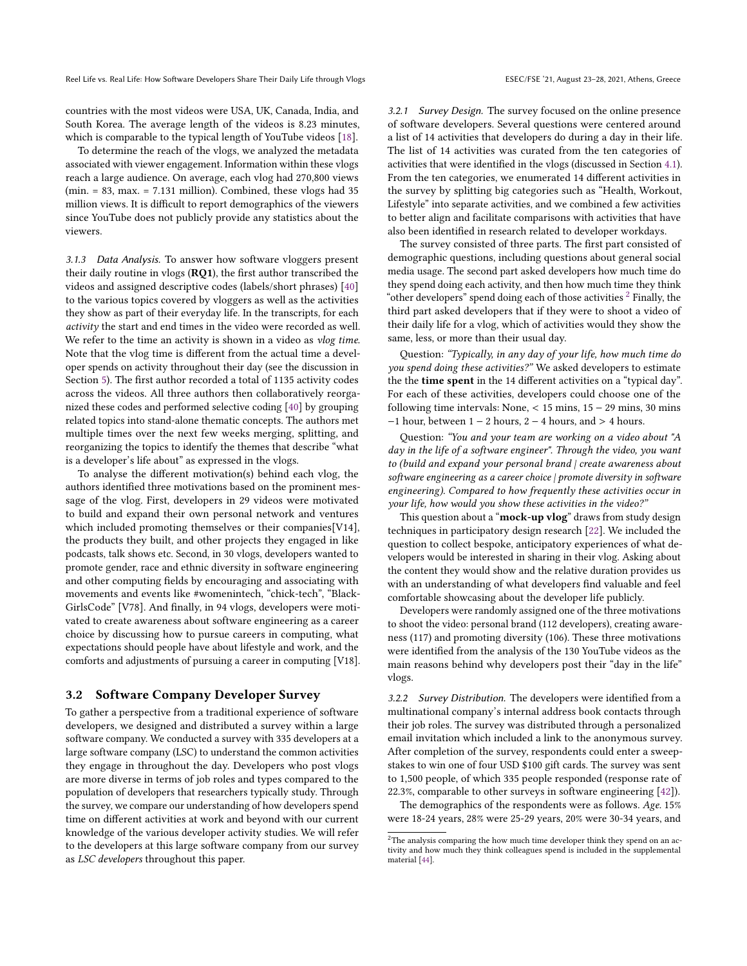countries with the most videos were USA, UK, Canada, India, and South Korea. The average length of the videos is 8.23 minutes, which is comparable to the typical length of YouTube videos [\[18\]](#page-10-1).

To determine the reach of the vlogs, we analyzed the metadata associated with viewer engagement. Information within these vlogs reach a large audience. On average, each vlog had 270,800 views  $(min = 83, max. = 7.131 million)$ . Combined, these vlogs had 35 million views. It is difficult to report demographics of the viewers since YouTube does not publicly provide any statistics about the viewers.

<span id="page-2-2"></span>3.1.3 Data Analysis. To answer how software vloggers present their daily routine in vlogs (RQ1), the first author transcribed the videos and assigned descriptive codes (labels/short phrases) [\[40\]](#page-11-2) to the various topics covered by vloggers as well as the activities they show as part of their everyday life. In the transcripts, for each activity the start and end times in the video were recorded as well. We refer to the time an activity is shown in a video as vlog time. Note that the vlog time is different from the actual time a developer spends on activity throughout their day (see the discussion in Section [5\)](#page-7-0). The first author recorded a total of 1135 activity codes across the videos. All three authors then collaboratively reorganized these codes and performed selective coding [\[40\]](#page-11-2) by grouping related topics into stand-alone thematic concepts. The authors met multiple times over the next few weeks merging, splitting, and reorganizing the topics to identify the themes that describe "what is a developer's life about" as expressed in the vlogs.

To analyse the different motivation(s) behind each vlog, the authors identified three motivations based on the prominent message of the vlog. First, developers in 29 videos were motivated to build and expand their own personal network and ventures which included promoting themselves or their companies[V14], the products they built, and other projects they engaged in like podcasts, talk shows etc. Second, in 30 vlogs, developers wanted to promote gender, race and ethnic diversity in software engineering and other computing fields by encouraging and associating with movements and events like #womenintech, "chick-tech", "Black-GirlsCode" [V78]. And finally, in 94 vlogs, developers were motivated to create awareness about software engineering as a career choice by discussing how to pursue careers in computing, what expectations should people have about lifestyle and work, and the comforts and adjustments of pursuing a career in computing [V18].

#### <span id="page-2-0"></span>3.2 Software Company Developer Survey

To gather a perspective from a traditional experience of software developers, we designed and distributed a survey within a large software company. We conducted a survey with 335 developers at a large software company (LSC) to understand the common activities they engage in throughout the day. Developers who post vlogs are more diverse in terms of job roles and types compared to the population of developers that researchers typically study. Through the survey, we compare our understanding of how developers spend time on different activities at work and beyond with our current knowledge of the various developer activity studies. We will refer to the developers at this large software company from our survey as LSC developers throughout this paper.

3.2.1 Survey Design. The survey focused on the online presence of software developers. Several questions were centered around a list of 14 activities that developers do during a day in their life. The list of 14 activities was curated from the ten categories of activities that were identified in the vlogs (discussed in Section [4.1\)](#page-3-1). From the ten categories, we enumerated 14 different activities in the survey by splitting big categories such as "Health, Workout, Lifestyle" into separate activities, and we combined a few activities to better align and facilitate comparisons with activities that have also been identified in research related to developer workdays.

The survey consisted of three parts. The first part consisted of demographic questions, including questions about general social media usage. The second part asked developers how much time do they spend doing each activity, and then how much time they think "other developers" spend doing each of those activities  $2$  Finally, the third part asked developers that if they were to shoot a video of their daily life for a vlog, which of activities would they show the same, less, or more than their usual day.

Question: "Typically, in any day of your life, how much time do you spend doing these activities?" We asked developers to estimate the the time spent in the 14 different activities on a "typical day". For each of these activities, developers could choose one of the following time intervals: None, < 15 mins, 15 − 29 mins, 30 mins  $-1$  hour, between  $1 - 2$  hours,  $2 - 4$  hours, and  $> 4$  hours.

Question: "You and your team are working on a video about "A day in the life of a software engineer". Through the video, you want to (build and expand your personal brand | create awareness about software engineering as a career choice | promote diversity in software engineering). Compared to how frequently these activities occur in your life, how would you show these activities in the video?"

This question about a "mock-up vlog" draws from study design techniques in participatory design research [\[22\]](#page-10-2). We included the question to collect bespoke, anticipatory experiences of what developers would be interested in sharing in their vlog. Asking about the content they would show and the relative duration provides us with an understanding of what developers find valuable and feel comfortable showcasing about the developer life publicly.

Developers were randomly assigned one of the three motivations to shoot the video: personal brand (112 developers), creating awareness (117) and promoting diversity (106). These three motivations were identified from the analysis of the 130 YouTube videos as the main reasons behind why developers post their "day in the life" vlogs.

3.2.2 Survey Distribution. The developers were identified from a multinational company's internal address book contacts through their job roles. The survey was distributed through a personalized email invitation which included a link to the anonymous survey. After completion of the survey, respondents could enter a sweepstakes to win one of four USD \$100 gift cards. The survey was sent to 1,500 people, of which 335 people responded (response rate of 22.3%, comparable to other surveys in software engineering [\[42\]](#page-11-3)).

The demographics of the respondents were as follows. Age. 15% were 18-24 years, 28% were 25-29 years, 20% were 30-34 years, and

<span id="page-2-1"></span> $^2\mathrm{The}$  analysis comparing the how much time developer think they spend on an activity and how much they think colleagues spend is included in the supplemental material [\[44\]](#page-11-1).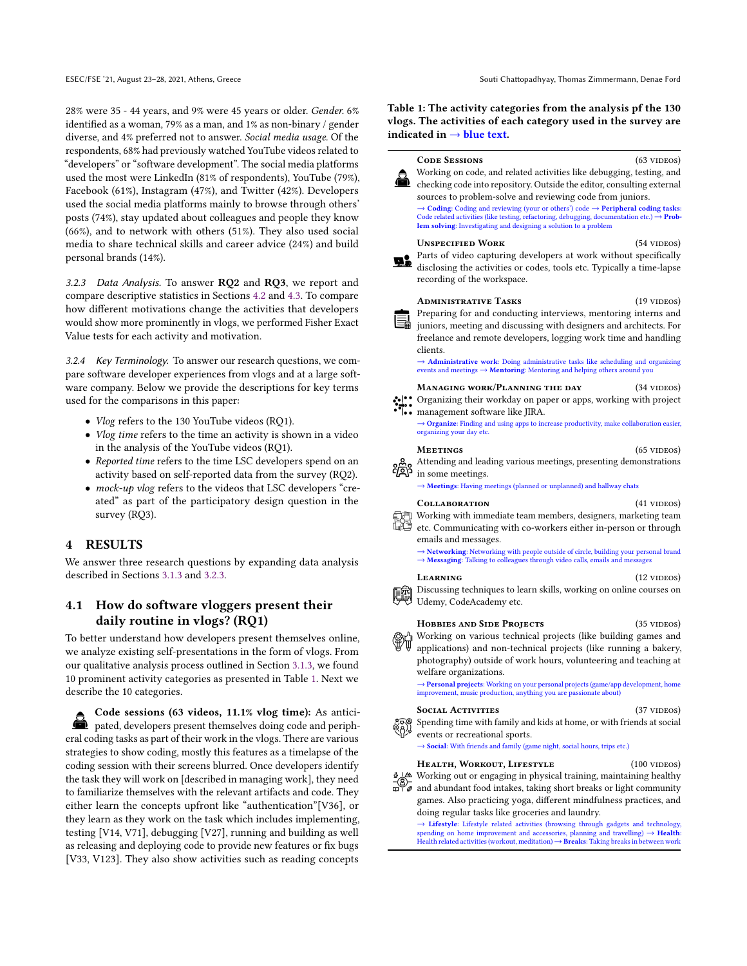28% were 35 - 44 years, and 9% were 45 years or older. Gender. 6% identified as a woman, 79% as a man, and 1% as non-binary / gender diverse, and 4% preferred not to answer. Social media usage. Of the respondents, 68% had previously watched YouTube videos related to "developers" or "software development". The social media platforms used the most were LinkedIn (81% of respondents), YouTube (79%), Facebook (61%), Instagram (47%), and Twitter (42%). Developers used the social media platforms mainly to browse through others' posts (74%), stay updated about colleagues and people they know (66%), and to network with others (51%). They also used social media to share technical skills and career advice (24%) and build personal brands (14%).

<span id="page-3-2"></span>3.2.3 Data Analysis. To answer RQ2 and RQ3, we report and compare descriptive statistics in Sections [4.2](#page-6-0) and [4.3.](#page-6-1) To compare how different motivations change the activities that developers would show more prominently in vlogs, we performed Fisher Exact Value tests for each activity and motivation.

3.2.4 Key Terminology. To answer our research questions, we compare software developer experiences from vlogs and at a large software company. Below we provide the descriptions for key terms used for the comparisons in this paper:

- Vlog refers to the 130 YouTube videos (RQ1).
- Vlog time refers to the time an activity is shown in a video in the analysis of the YouTube videos (RQ1).
- Reported time refers to the time LSC developers spend on an activity based on self-reported data from the survey (RQ2).
- mock-up vlog refers to the videos that LSC developers "created" as part of the participatory design question in the survey (RQ3).

#### <span id="page-3-0"></span>4 RESULTS

We answer three research questions by expanding data analysis described in Sections [3.1.3](#page-2-2) and [3.2.3.](#page-3-2)

# <span id="page-3-1"></span>4.1 How do software vloggers present their daily routine in vlogs? (RQ1)

To better understand how developers present themselves online, we analyze existing self-presentations in the form of vlogs. From our qualitative analysis process outlined in Section [3.1.3,](#page-2-2) we found 10 prominent activity categories as presented in Table [1.](#page-3-3) Next we describe the 10 categories.

Code sessions (63 videos, 11.1% vlog time): As anticipated, developers present themselves doing code and peripheral coding tasks as part of their work in the vlogs. There are various strategies to show coding, mostly this features as a timelapse of the coding session with their screens blurred. Once developers identify the task they will work on [described in managing work], they need to familiarize themselves with the relevant artifacts and code. They either learn the concepts upfront like "authentication"[V36], or they learn as they work on the task which includes implementing, testing [V14, V71], debugging [V27], running and building as well as releasing and deploying code to provide new features or fix bugs [V33, V123]. They also show activities such as reading concepts

<span id="page-3-3"></span>Table 1: The activity categories from the analysis pf the 130 vlogs. The activities of each category used in the survey are indicated in  $\rightarrow$  blue text.

ို

鳫

€

| <b>CODE SESSIONS</b><br>$(63 \text{ VIDEOS})$                                                                                                                                                                                                                                                                                                                             |  |  |
|---------------------------------------------------------------------------------------------------------------------------------------------------------------------------------------------------------------------------------------------------------------------------------------------------------------------------------------------------------------------------|--|--|
| Working on code, and related activities like debugging, testing, and<br>checking code into repository. Outside the editor, consulting external<br>sources to problem-solve and reviewing code from juniors.                                                                                                                                                               |  |  |
| $\rightarrow$ Coding: Coding and reviewing (your or others') code $\rightarrow$ Peripheral coding tasks:<br>Code related activities (like testing, refactoring, debugging, documentation etc.) $\rightarrow$ Prob-<br>lem solving: Investigating and designing a solution to a problem                                                                                    |  |  |
| <b>UNSPECIFIED WORK</b><br>$(54$ VIDEOS)<br>Parts of video capturing developers at work without specifically<br>disclosing the activities or codes, tools etc. Typically a time-lapse<br>recording of the workspace.                                                                                                                                                      |  |  |
| $(19 \text{ VIDEOS})$<br><b>ADMINISTRATIVE TASKS</b><br>Preparing for and conducting interviews, mentoring interns and<br>$\Xi_{\text{min}}$ intervals and discussing with designers and architects. For<br>freelance and remote developers, logging work time and handling<br>clients.<br>Administrative work: Doing administrative tasks like scheduling and organizing |  |  |
| events and meetings $\rightarrow$ <b>Mentoring</b> : Mentoring and helping others around you                                                                                                                                                                                                                                                                              |  |  |
| Managing work/Planning the day<br>(34 videos)<br>Organizing their workday on paper or apps, working with project<br>l•• management software like JIRA.                                                                                                                                                                                                                    |  |  |
| $\rightarrow$ Organize: Finding and using apps to increase productivity, make collaboration easier,<br>organizing your day etc.                                                                                                                                                                                                                                           |  |  |
| <b>MEETINGS</b><br>$(65 \text{ VIDEOS})$<br>Attending and leading various meetings, presenting demonstrations<br>in some meetings.                                                                                                                                                                                                                                        |  |  |
| → Meetings: Having meetings (planned or unplanned) and hallway chats                                                                                                                                                                                                                                                                                                      |  |  |
| $(41$ videos)<br><b>COLLABORATION</b>                                                                                                                                                                                                                                                                                                                                     |  |  |
| Working with immediate team members, designers, marketing team<br>∄ etc. Communicating with co-workers either in-person or through<br>emails and messages.                                                                                                                                                                                                                |  |  |
| > Networking: Networking with people outside of circle, building your personal brand<br>→ Messaging: Talking to colleagues through video calls, emails and messages                                                                                                                                                                                                       |  |  |
| LEARNING<br>$(12 \text{ VIDEOS})$                                                                                                                                                                                                                                                                                                                                         |  |  |
| Discussing techniques to learn skills, working on online courses on<br>Udemy, CodeAcademy etc.                                                                                                                                                                                                                                                                            |  |  |
| <b>HOBBIES AND SIDE PROJECTS</b><br>$(35 \text{ VIDEOS})$<br>Working on various technical projects (like building games and<br>applications) and non-technical projects (like running a bakery,<br>photography) outside of work hours, volunteering and teaching at<br>welfare organizations.                                                                             |  |  |
| $\rightarrow$ Personal projects: Working on your personal projects (game/app development, home<br>improvement, music production, anything you are passionate about)                                                                                                                                                                                                       |  |  |
| <b>SOCIAL ACTIVITIES</b><br>$(37 \text{ VIDEOS})$<br>Spending time with family and kids at home, or with friends at social<br>events or recreational sports.<br>$\rightarrow$ Social: With friends and family (game night, social hours, trips etc.)                                                                                                                      |  |  |
| HEALTH, WORKOUT, LIFESTYLE<br>$(100 \text{ VIDEOS})$                                                                                                                                                                                                                                                                                                                      |  |  |
| $\frac{1}{2}$ Working out or engaging in physical training, maintaining healthy<br>$\omega$ and abundant food intakes, taking short breaks or light community<br>games. Also practicing yoga, different mindfulness practices, and                                                                                                                                        |  |  |
| doing regular tasks like groceries and laundry.<br>$\rightarrow$ Lifestyle: Lifestyle related activities (browsing through gadgets and technology,<br>spending on home improvement and accessories, planning and travelling) $\rightarrow$ Health:<br>Health related activities (workout, meditation) $\rightarrow$ Breaks: Taking breaks in between work                 |  |  |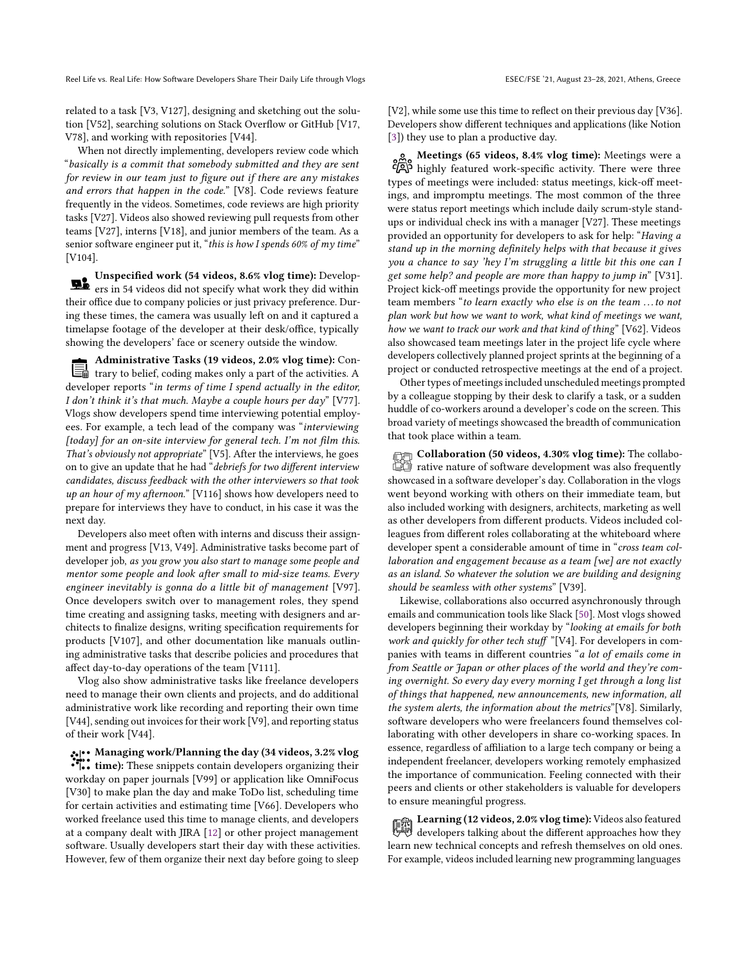Reel Life vs. Real Life: How Software Developers Share Their Daily Life through Vlogs ESEC/FSE '21, August 23-28, 2021, Athens, Greece

related to a task [V3, V127], designing and sketching out the solution [V52], searching solutions on Stack Overflow or GitHub [V17, V78], and working with repositories [V44].

When not directly implementing, developers review code which "basically is a commit that somebody submitted and they are sent for review in our team just to figure out if there are any mistakes and errors that happen in the code." [V8]. Code reviews feature frequently in the videos. Sometimes, code reviews are high priority tasks [V27]. Videos also showed reviewing pull requests from other teams [V27], interns [V18], and junior members of the team. As a senior software engineer put it, "this is how I spends 60% of  $m\gamma$  time" [V104].

Unspecified work (54 videos, 8.6% vlog time): Developers in 54 videos did not specify what work they did within their office due to company policies or just privacy preference. During these times, the camera was usually left on and it captured a timelapse footage of the developer at their desk/office, typically showing the developers' face or scenery outside the window.

Administrative Tasks (19 videos, 2.0% vlog time): Con-冒 trary to belief, coding makes only a part of the activities. A developer reports "in terms of time I spend actually in the editor, I don't think it's that much. Maybe a couple hours per day" [V77]. Vlogs show developers spend time interviewing potential employees. For example, a tech lead of the company was "interviewing [today] for an on-site interview for general tech. I'm not film this. That's obviously not appropriate" [V5]. After the interviews, he goes on to give an update that he had "debriefs for two different interview candidates, discuss feedback with the other interviewers so that took up an hour of my afternoon." [V116] shows how developers need to prepare for interviews they have to conduct, in his case it was the next day.

Developers also meet often with interns and discuss their assignment and progress [V13, V49]. Administrative tasks become part of developer job, as you grow you also start to manage some people and mentor some people and look after small to mid-size teams. Every engineer inevitably is gonna do a little bit of management [V97]. Once developers switch over to management roles, they spend time creating and assigning tasks, meeting with designers and architects to finalize designs, writing specification requirements for products [V107], and other documentation like manuals outlining administrative tasks that describe policies and procedures that affect day-to-day operations of the team [V111].

Vlog also show administrative tasks like freelance developers need to manage their own clients and projects, and do additional administrative work like recording and reporting their own time [V44], sending out invoices for their work [V9], and reporting status of their work [V44].

Managing work/Planning the day (34 videos, 3.2% vlog time): These snippets contain developers organizing their workday on paper journals [V99] or application like OmniFocus [V30] to make plan the day and make ToDo list, scheduling time for certain activities and estimating time [V66]. Developers who worked freelance used this time to manage clients, and developers at a company dealt with JIRA [\[12\]](#page-10-3) or other project management software. Usually developers start their day with these activities. However, few of them organize their next day before going to sleep

[V2], while some use this time to reflect on their previous day [V36]. Developers show different techniques and applications (like Notion [\[3\]](#page-10-4)) they use to plan a productive day.

Meetings (65 videos, 8.4% vlog time): Meetings were a highly featured work-specific activity. There were three types of meetings were included: status meetings, kick-off meetings, and impromptu meetings. The most common of the three were status report meetings which include daily scrum-style standups or individual check ins with a manager [V27]. These meetings provided an opportunity for developers to ask for help: "Having a stand up in the morning definitely helps with that because it gives you a chance to say 'hey I'm struggling a little bit this one can I get some help? and people are more than happy to jump in" [V31]. Project kick-off meetings provide the opportunity for new project team members "to learn exactly who else is on the team . . . to not plan work but how we want to work, what kind of meetings we want, how we want to track our work and that kind of thing" [V62]. Videos also showcased team meetings later in the project life cycle where developers collectively planned project sprints at the beginning of a project or conducted retrospective meetings at the end of a project.

Other types of meetings included unscheduled meetings prompted by a colleague stopping by their desk to clarify a task, or a sudden huddle of co-workers around a developer's code on the screen. This broad variety of meetings showcased the breadth of communication that took place within a team.

Collaboration (50 videos, 4.30% vlog time): The collaborative nature of software development was also frequently showcased in a software developer's day. Collaboration in the vlogs went beyond working with others on their immediate team, but also included working with designers, architects, marketing as well as other developers from different products. Videos included colleagues from different roles collaborating at the whiteboard where developer spent a considerable amount of time in "cross team collaboration and engagement because as a team [we] are not exactly as an island. So whatever the solution we are building and designing should be seamless with other systems" [V39].

Likewise, collaborations also occurred asynchronously through emails and communication tools like Slack [\[50\]](#page-11-4). Most vlogs showed developers beginning their workday by "looking at emails for both work and quickly for other tech stuff "[V4]. For developers in companies with teams in different countries "a lot of emails come in from Seattle or Japan or other places of the world and they're coming overnight. So every day every morning I get through a long list of things that happened, new announcements, new information, all the system alerts, the information about the metrics"[V8]. Similarly, software developers who were freelancers found themselves collaborating with other developers in share co-working spaces. In essence, regardless of affiliation to a large tech company or being a independent freelancer, developers working remotely emphasized the importance of communication. Feeling connected with their peers and clients or other stakeholders is valuable for developers to ensure meaningful progress.

Learning (12 videos, 2.0% vlog time): Videos also featured developers talking about the different approaches how they learn new technical concepts and refresh themselves on old ones. For example, videos included learning new programming languages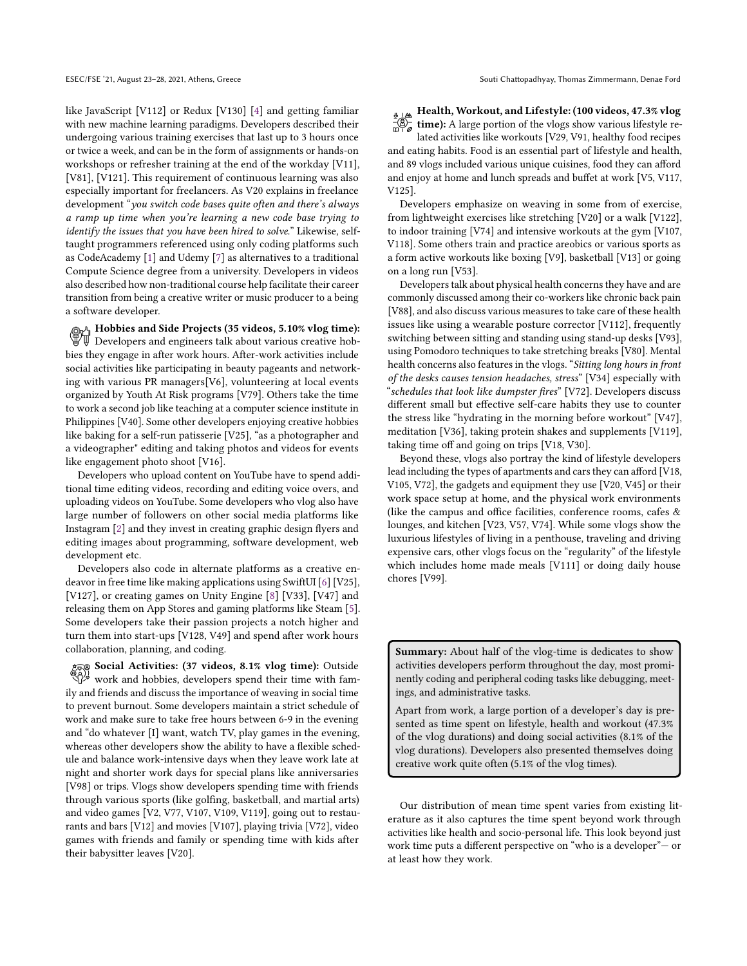like JavaScript [V112] or Redux [V130] [\[4\]](#page-10-5) and getting familiar with new machine learning paradigms. Developers described their undergoing various training exercises that last up to 3 hours once or twice a week, and can be in the form of assignments or hands-on workshops or refresher training at the end of the workday [V11], [V81], [V121]. This requirement of continuous learning was also especially important for freelancers. As V20 explains in freelance development "you switch code bases quite often and there's always a ramp up time when you're learning a new code base trying to identify the issues that you have been hired to solve." Likewise, selftaught programmers referenced using only coding platforms such as CodeAcademy [\[1\]](#page-10-6) and Udemy [\[7\]](#page-10-7) as alternatives to a traditional Compute Science degree from a university. Developers in videos also described how non-traditional course help facilitate their career transition from being a creative writer or music producer to a being a software developer.

Hobbies and Side Projects (35 videos, 5.10% vlog time): Developers and engineers talk about various creative hobbies they engage in after work hours. After-work activities include social activities like participating in beauty pageants and networking with various PR managers[V6], volunteering at local events organized by Youth At Risk programs [V79]. Others take the time to work a second job like teaching at a computer science institute in Philippines [V40]. Some other developers enjoying creative hobbies like baking for a self-run patisserie [V25], "as a photographer and a videographer" editing and taking photos and videos for events like engagement photo shoot [V16].

Developers who upload content on YouTube have to spend additional time editing videos, recording and editing voice overs, and uploading videos on YouTube. Some developers who vlog also have large number of followers on other social media platforms like Instagram [\[2\]](#page-10-8) and they invest in creating graphic design flyers and editing images about programming, software development, web development etc.

Developers also code in alternate platforms as a creative endeavor in free time like making applications using SwiftUI [\[6\]](#page-10-9) [V25], [V127], or creating games on Unity Engine [\[8\]](#page-10-10) [V33], [V47] and releasing them on App Stores and gaming platforms like Steam [\[5\]](#page-10-11). Some developers take their passion projects a notch higher and turn them into start-ups [V128, V49] and spend after work hours collaboration, planning, and coding.

Social Activities: (37 videos, 8.1% vlog time): Outside work and hobbies, developers spend their time with family and friends and discuss the importance of weaving in social time to prevent burnout. Some developers maintain a strict schedule of work and make sure to take free hours between 6-9 in the evening and "do whatever [I] want, watch TV, play games in the evening, whereas other developers show the ability to have a flexible schedule and balance work-intensive days when they leave work late at night and shorter work days for special plans like anniversaries [V98] or trips. Vlogs show developers spending time with friends through various sports (like golfing, basketball, and martial arts) and video games [V2, V77, V107, V109, V119], going out to restaurants and bars [V12] and movies [V107], playing trivia [V72], video games with friends and family or spending time with kids after their babysitter leaves [V20].

 $\frac{1}{2}$  Health, Workout, and Lifestyle: (100 videos, 47.3% vlog  $\frac{1}{\mathscr{E}}$  time): A large portion of the vlogs show various lifestyle related activities like workouts [V29, V91, healthy food recipes and eating habits. Food is an essential part of lifestyle and health, and 89 vlogs included various unique cuisines, food they can afford and enjoy at home and lunch spreads and buffet at work [V5, V117, V125].

Developers emphasize on weaving in some from of exercise, from lightweight exercises like stretching [V20] or a walk [V122], to indoor training [V74] and intensive workouts at the gym [V107, V118]. Some others train and practice areobics or various sports as a form active workouts like boxing [V9], basketball [V13] or going on a long run [V53].

Developers talk about physical health concerns they have and are commonly discussed among their co-workers like chronic back pain [V88], and also discuss various measures to take care of these health issues like using a wearable posture corrector [V112], frequently switching between sitting and standing using stand-up desks [V93], using Pomodoro techniques to take stretching breaks [V80]. Mental health concerns also features in the vlogs. "Sitting long hours in front of the desks causes tension headaches, stress" [V34] especially with "schedules that look like dumpster fires" [V72]. Developers discuss different small but effective self-care habits they use to counter the stress like "hydrating in the morning before workout" [V47], meditation [V36], taking protein shakes and supplements [V119], taking time off and going on trips [V18, V30].

Beyond these, vlogs also portray the kind of lifestyle developers lead including the types of apartments and cars they can afford [V18, V105, V72], the gadgets and equipment they use [V20, V45] or their work space setup at home, and the physical work environments (like the campus and office facilities, conference rooms, cafes & lounges, and kitchen [V23, V57, V74]. While some vlogs show the luxurious lifestyles of living in a penthouse, traveling and driving expensive cars, other vlogs focus on the "regularity" of the lifestyle which includes home made meals [V111] or doing daily house chores [V99].

Summary: About half of the vlog-time is dedicates to show activities developers perform throughout the day, most prominently coding and peripheral coding tasks like debugging, meetings, and administrative tasks.

Apart from work, a large portion of a developer's day is presented as time spent on lifestyle, health and workout (47.3% of the vlog durations) and doing social activities (8.1% of the vlog durations). Developers also presented themselves doing creative work quite often (5.1% of the vlog times).

Our distribution of mean time spent varies from existing literature as it also captures the time spent beyond work through activities like health and socio-personal life. This look beyond just work time puts a different perspective on "who is a developer"— or at least how they work.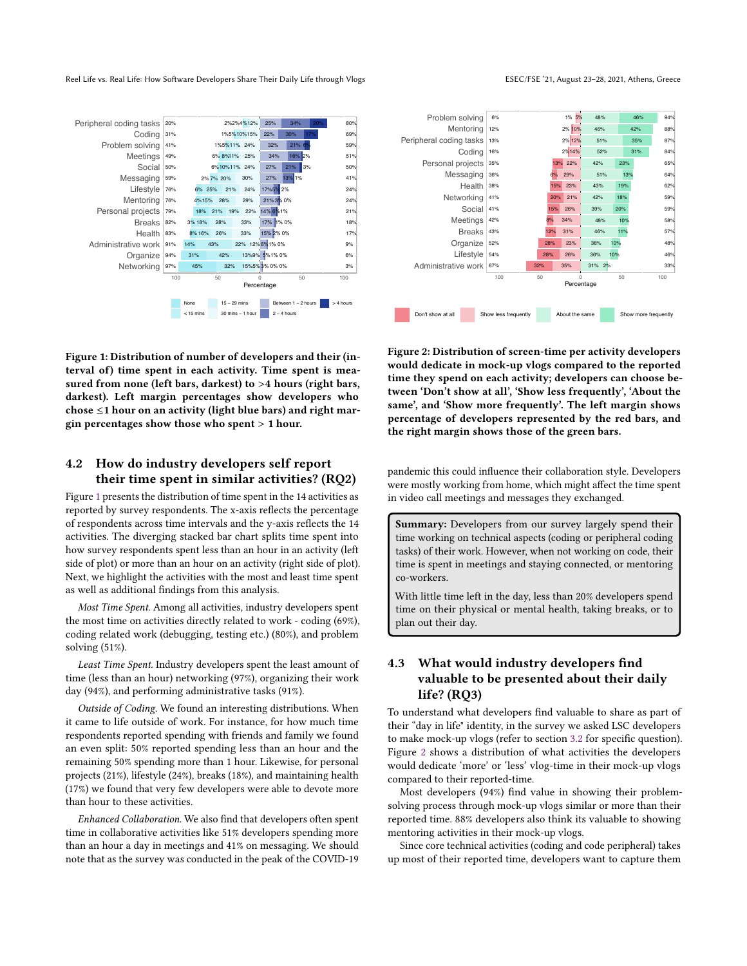eel Life vs. Real Life: How Software Developers Share Their Daily Life through Vlogs enter the state of the ESEC/FSE '21, August 23–28, 2021, Athens, Greece

<span id="page-6-2"></span>

Figure 1: Distribution of number of developers and their (interval of) time spent in each activity. Time spent is measured from none (left bars, darkest) to >4 hours (right bars, darkest). Left margin percentages show developers who chose ≤1 hour on an activity (light blue bars) and right margin percentages show those who spent > 1 hour.

### <span id="page-6-0"></span>4.2 How do industry developers self report their time spent in similar activities? (RQ2)

Figure [1](#page-6-2) presents the distribution of time spent in the 14 activities as reported by survey respondents. The x-axis reflects the percentage of respondents across time intervals and the y-axis reflects the 14 activities. The diverging stacked bar chart splits time spent into how survey respondents spent less than an hour in an activity (left side of plot) or more than an hour on an activity (right side of plot). Next, we highlight the activities with the most and least time spent as well as additional findings from this analysis.

Most Time Spent. Among all activities, industry developers spent the most time on activities directly related to work - coding (69%), coding related work (debugging, testing etc.) (80%), and problem solving (51%).

Least Time Spent. Industry developers spent the least amount of time (less than an hour) networking (97%), organizing their work day (94%), and performing administrative tasks (91%).

Outside of Coding. We found an interesting distributions. When it came to life outside of work. For instance, for how much time respondents reported spending with friends and family we found an even split: 50% reported spending less than an hour and the remaining 50% spending more than 1 hour. Likewise, for personal projects (21%), lifestyle (24%), breaks (18%), and maintaining health (17%) we found that very few developers were able to devote more than hour to these activities.

Enhanced Collaboration. We also find that developers often spent time in collaborative activities like 51% developers spending more than an hour a day in meetings and 41% on messaging. We should note that as the survey was conducted in the peak of the COVID-19

<span id="page-6-3"></span>

Figure 2: Distribution of screen-time per activity developers would dedicate in mock-up vlogs compared to the reported time they spend on each activity; developers can choose between 'Don't show at all', 'Show less frequently', 'About the same', and 'Show more frequently'. The left margin shows percentage of developers represented by the red bars, and the right margin shows those of the green bars.

pandemic this could influence their collaboration style. Developers were mostly working from home, which might affect the time spent in video call meetings and messages they exchanged.

Summary: Developers from our survey largely spend their time working on technical aspects (coding or peripheral coding tasks) of their work. However, when not working on code, their time is spent in meetings and staying connected, or mentoring co-workers.

With little time left in the day, less than 20% developers spend time on their physical or mental health, taking breaks, or to plan out their day.

# <span id="page-6-1"></span>4.3 What would industry developers find valuable to be presented about their daily life? (RQ3)

To understand what developers find valuable to share as part of their "day in life" identity, in the survey we asked LSC developers to make mock-up vlogs (refer to section [3.2](#page-2-0) for specific question). Figure [2](#page-6-3) shows a distribution of what activities the developers would dedicate 'more' or 'less' vlog-time in their mock-up vlogs compared to their reported-time.

Most developers (94%) find value in showing their problemsolving process through mock-up vlogs similar or more than their reported time. 88% developers also think its valuable to showing mentoring activities in their mock-up vlogs.

Since core technical activities (coding and code peripheral) takes up most of their reported time, developers want to capture them

ESEC/ESE '21 August 23-28 2021 Athons Grooce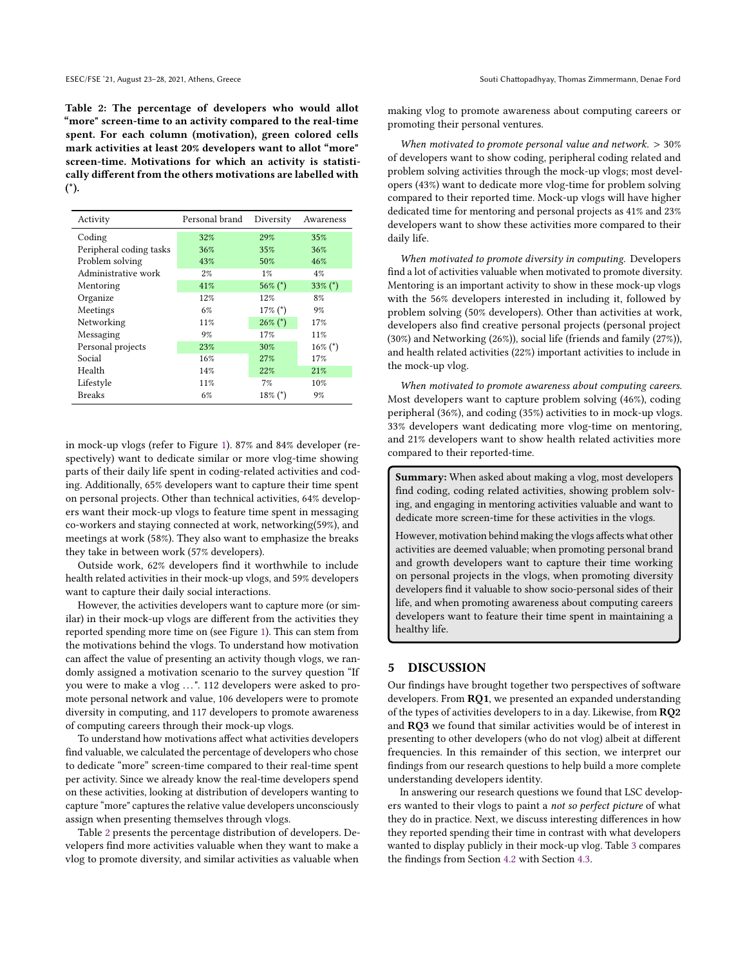<span id="page-7-1"></span>Table 2: The percentage of developers who would allot "more" screen-time to an activity compared to the real-time spent. For each column (motivation), green colored cells mark activities at least 20% developers want to allot "more" screen-time. Motivations for which an activity is statistically different from the others motivations are labelled with (\*).

| Activity                | Personal brand | Diversity    | Awareness    |
|-------------------------|----------------|--------------|--------------|
| Coding                  | 32%            | 29%          | 35%          |
| Peripheral coding tasks | 36%            | 35%          | 36%          |
| Problem solving         | 43%            | 50%          | 46%          |
| Administrative work     | 2%             | $1\%$        | 4%           |
| Mentoring               | 41%            | $56\%$ (*)   | $33\%$ (*)   |
| Organize                | 12%            | 12%          | 8%           |
| Meetings                | 6%             | $17\%$ $(*)$ | 9%           |
| Networking              | 11%            | $26\%$ (*)   | 17%          |
| Messaging               | 9%             | 17%          | 11%          |
| Personal projects       | 23%            | 30%          | $16\%$ $(*)$ |
| Social                  | 16%            | 27%          | 17%          |
| Health                  | 14%            | 22%          | 21%          |
| Lifestyle               | 11%            | 7%           | 10%          |
| <b>Breaks</b>           | 6%             | $18\%$ $(*)$ | 9%           |

in mock-up vlogs (refer to Figure [1\)](#page-6-2). 87% and 84% developer (respectively) want to dedicate similar or more vlog-time showing parts of their daily life spent in coding-related activities and coding. Additionally, 65% developers want to capture their time spent on personal projects. Other than technical activities, 64% developers want their mock-up vlogs to feature time spent in messaging co-workers and staying connected at work, networking(59%), and meetings at work (58%). They also want to emphasize the breaks they take in between work (57% developers).

Outside work, 62% developers find it worthwhile to include health related activities in their mock-up vlogs, and 59% developers want to capture their daily social interactions.

However, the activities developers want to capture more (or similar) in their mock-up vlogs are different from the activities they reported spending more time on (see Figure [1\)](#page-6-2). This can stem from the motivations behind the vlogs. To understand how motivation can affect the value of presenting an activity though vlogs, we randomly assigned a motivation scenario to the survey question "If you were to make a vlog ...". 112 developers were asked to promote personal network and value, 106 developers were to promote diversity in computing, and 117 developers to promote awareness of computing careers through their mock-up vlogs.

To understand how motivations affect what activities developers find valuable, we calculated the percentage of developers who chose to dedicate "more" screen-time compared to their real-time spent per activity. Since we already know the real-time developers spend on these activities, looking at distribution of developers wanting to capture "more" captures the relative value developers unconsciously assign when presenting themselves through vlogs.

Table [2](#page-7-1) presents the percentage distribution of developers. Developers find more activities valuable when they want to make a vlog to promote diversity, and similar activities as valuable when

making vlog to promote awareness about computing careers or promoting their personal ventures.

When motivated to promote personal value and network.  $> 30\%$ of developers want to show coding, peripheral coding related and problem solving activities through the mock-up vlogs; most developers (43%) want to dedicate more vlog-time for problem solving compared to their reported time. Mock-up vlogs will have higher dedicated time for mentoring and personal projects as 41% and 23% developers want to show these activities more compared to their daily life.

When motivated to promote diversity in computing. Developers find a lot of activities valuable when motivated to promote diversity. Mentoring is an important activity to show in these mock-up vlogs with the 56% developers interested in including it, followed by problem solving (50% developers). Other than activities at work, developers also find creative personal projects (personal project (30%) and Networking (26%)), social life (friends and family (27%)), and health related activities (22%) important activities to include in the mock-up vlog.

When motivated to promote awareness about computing careers. Most developers want to capture problem solving (46%), coding peripheral (36%), and coding (35%) activities to in mock-up vlogs. 33% developers want dedicating more vlog-time on mentoring, and 21% developers want to show health related activities more compared to their reported-time.

Summary: When asked about making a vlog, most developers find coding, coding related activities, showing problem solving, and engaging in mentoring activities valuable and want to dedicate more screen-time for these activities in the vlogs.

However, motivation behind making the vlogs affects what other activities are deemed valuable; when promoting personal brand and growth developers want to capture their time working on personal projects in the vlogs, when promoting diversity developers find it valuable to show socio-personal sides of their life, and when promoting awareness about computing careers developers want to feature their time spent in maintaining a healthy life.

#### <span id="page-7-0"></span>5 DISCUSSION

Our findings have brought together two perspectives of software developers. From RQ1, we presented an expanded understanding of the types of activities developers to in a day. Likewise, from RQ2 and RQ3 we found that similar activities would be of interest in presenting to other developers (who do not vlog) albeit at different frequencies. In this remainder of this section, we interpret our findings from our research questions to help build a more complete understanding developers identity.

In answering our research questions we found that LSC developers wanted to their vlogs to paint a not so perfect picture of what they do in practice. Next, we discuss interesting differences in how they reported spending their time in contrast with what developers wanted to display publicly in their mock-up vlog. Table [3](#page-8-0) compares the findings from Section [4.2](#page-6-0) with Section [4.3.](#page-6-1)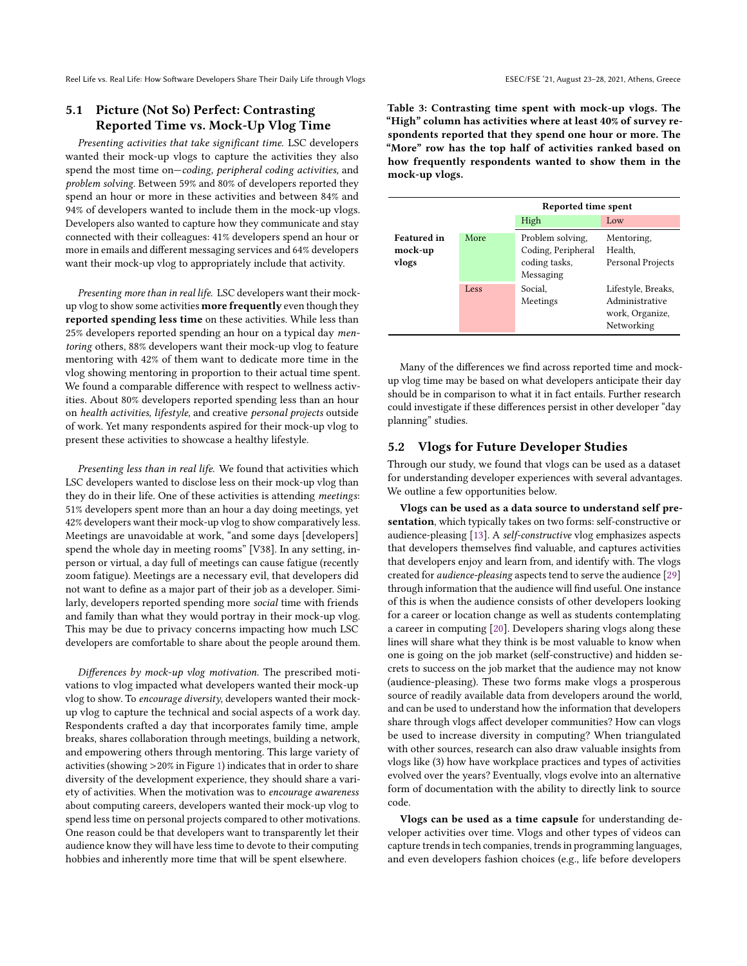Reel Life vs. Real Life: How Software Developers Share Their Daily Life through Vlogs ESEC/FSE '21, August 23-28, 2021, Athens, Greece

# 5.1 Picture (Not So) Perfect: Contrasting Reported Time vs. Mock-Up Vlog Time

Presenting activities that take significant time. LSC developers wanted their mock-up vlogs to capture the activities they also spend the most time on—coding, peripheral coding activities, and problem solving. Between 59% and 80% of developers reported they spend an hour or more in these activities and between 84% and 94% of developers wanted to include them in the mock-up vlogs. Developers also wanted to capture how they communicate and stay connected with their colleagues: 41% developers spend an hour or more in emails and different messaging services and 64% developers want their mock-up vlog to appropriately include that activity.

Presenting more than in real life. LSC developers want their mockup vlog to show some activities more frequently even though they reported spending less time on these activities. While less than 25% developers reported spending an hour on a typical day mentoring others, 88% developers want their mock-up vlog to feature mentoring with 42% of them want to dedicate more time in the vlog showing mentoring in proportion to their actual time spent. We found a comparable difference with respect to wellness activities. About 80% developers reported spending less than an hour on health activities, lifestyle, and creative personal projects outside of work. Yet many respondents aspired for their mock-up vlog to present these activities to showcase a healthy lifestyle.

Presenting less than in real life. We found that activities which LSC developers wanted to disclose less on their mock-up vlog than they do in their life. One of these activities is attending meetings: 51% developers spent more than an hour a day doing meetings, yet 42% developers want their mock-up vlog to show comparatively less. Meetings are unavoidable at work, "and some days [developers] spend the whole day in meeting rooms" [V38]. In any setting, inperson or virtual, a day full of meetings can cause fatigue (recently zoom fatigue). Meetings are a necessary evil, that developers did not want to define as a major part of their job as a developer. Similarly, developers reported spending more social time with friends and family than what they would portray in their mock-up vlog. This may be due to privacy concerns impacting how much LSC developers are comfortable to share about the people around them.

Differences by mock-up vlog motivation. The prescribed motivations to vlog impacted what developers wanted their mock-up vlog to show. To encourage diversity, developers wanted their mockup vlog to capture the technical and social aspects of a work day. Respondents crafted a day that incorporates family time, ample breaks, shares collaboration through meetings, building a network, and empowering others through mentoring. This large variety of activities (showing >20% in Figure [1\)](#page-6-2) indicates that in order to share diversity of the development experience, they should share a variety of activities. When the motivation was to encourage awareness about computing careers, developers wanted their mock-up vlog to spend less time on personal projects compared to other motivations. One reason could be that developers want to transparently let their audience know they will have less time to devote to their computing hobbies and inherently more time that will be spent elsewhere.

<span id="page-8-0"></span>Table 3: Contrasting time spent with mock-up vlogs. The "High" column has activities where at least 40% of survey respondents reported that they spend one hour or more. The "More" row has the top half of activities ranked based on how frequently respondents wanted to show them in the mock-up vlogs.

|                                        |      | Reported time spent                                                  |                                                                       |  |
|----------------------------------------|------|----------------------------------------------------------------------|-----------------------------------------------------------------------|--|
|                                        |      | High                                                                 | Low                                                                   |  |
| <b>Featured</b> in<br>mock-up<br>vlogs | More | Problem solving,<br>Coding, Peripheral<br>coding tasks,<br>Messaging | Mentoring,<br>Health.<br>Personal Projects                            |  |
|                                        | Less | Social.<br>Meetings                                                  | Lifestyle, Breaks,<br>Administrative<br>work, Organize,<br>Networking |  |

Many of the differences we find across reported time and mockup vlog time may be based on what developers anticipate their day should be in comparison to what it in fact entails. Further research could investigate if these differences persist in other developer "day planning" studies.

## 5.2 Vlogs for Future Developer Studies

Through our study, we found that vlogs can be used as a dataset for understanding developer experiences with several advantages. We outline a few opportunities below.

Vlogs can be used as a data source to understand self presentation, which typically takes on two forms: self-constructive or audience-pleasing [\[13\]](#page-10-12). A self-constructive vlog emphasizes aspects that developers themselves find valuable, and captures activities that developers enjoy and learn from, and identify with. The vlogs created for audience-pleasing aspects tend to serve the audience [\[29\]](#page-11-5) through information that the audience will find useful. One instance of this is when the audience consists of other developers looking for a career or location change as well as students contemplating a career in computing [\[20\]](#page-10-13). Developers sharing vlogs along these lines will share what they think is be most valuable to know when one is going on the job market (self-constructive) and hidden secrets to success on the job market that the audience may not know (audience-pleasing). These two forms make vlogs a prosperous source of readily available data from developers around the world, and can be used to understand how the information that developers share through vlogs affect developer communities? How can vlogs be used to increase diversity in computing? When triangulated with other sources, research can also draw valuable insights from vlogs like (3) how have workplace practices and types of activities evolved over the years? Eventually, vlogs evolve into an alternative form of documentation with the ability to directly link to source code.

Vlogs can be used as a time capsule for understanding developer activities over time. Vlogs and other types of videos can capture trends in tech companies, trends in programming languages, and even developers fashion choices (e.g., life before developers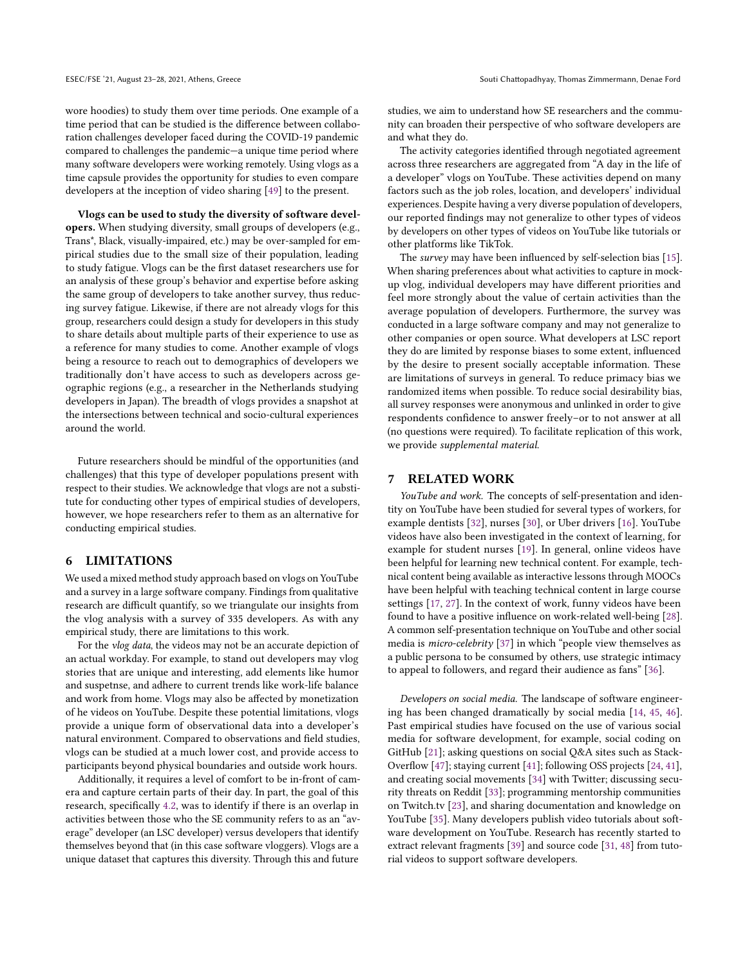wore hoodies) to study them over time periods. One example of a time period that can be studied is the difference between collaboration challenges developer faced during the COVID-19 pandemic compared to challenges the pandemic—a unique time period where many software developers were working remotely. Using vlogs as a time capsule provides the opportunity for studies to even compare developers at the inception of video sharing [\[49\]](#page-11-6) to the present.

Vlogs can be used to study the diversity of software developers. When studying diversity, small groups of developers (e.g., Trans\*, Black, visually-impaired, etc.) may be over-sampled for empirical studies due to the small size of their population, leading to study fatigue. Vlogs can be the first dataset researchers use for an analysis of these group's behavior and expertise before asking the same group of developers to take another survey, thus reducing survey fatigue. Likewise, if there are not already vlogs for this group, researchers could design a study for developers in this study to share details about multiple parts of their experience to use as a reference for many studies to come. Another example of vlogs being a resource to reach out to demographics of developers we traditionally don't have access to such as developers across geographic regions (e.g., a researcher in the Netherlands studying developers in Japan). The breadth of vlogs provides a snapshot at the intersections between technical and socio-cultural experiences around the world.

Future researchers should be mindful of the opportunities (and challenges) that this type of developer populations present with respect to their studies. We acknowledge that vlogs are not a substitute for conducting other types of empirical studies of developers, however, we hope researchers refer to them as an alternative for conducting empirical studies.

#### 6 LIMITATIONS

We used a mixed method study approach based on vlogs on YouTube and a survey in a large software company. Findings from qualitative research are difficult quantify, so we triangulate our insights from the vlog analysis with a survey of 335 developers. As with any empirical study, there are limitations to this work.

For the vlog data, the videos may not be an accurate depiction of an actual workday. For example, to stand out developers may vlog stories that are unique and interesting, add elements like humor and suspetnse, and adhere to current trends like work-life balance and work from home. Vlogs may also be affected by monetization of he videos on YouTube. Despite these potential limitations, vlogs provide a unique form of observational data into a developer's natural environment. Compared to observations and field studies, vlogs can be studied at a much lower cost, and provide access to participants beyond physical boundaries and outside work hours.

Additionally, it requires a level of comfort to be in-front of camera and capture certain parts of their day. In part, the goal of this research, specifically [4.2,](#page-6-0) was to identify if there is an overlap in activities between those who the SE community refers to as an "average" developer (an LSC developer) versus developers that identify themselves beyond that (in this case software vloggers). Vlogs are a unique dataset that captures this diversity. Through this and future

studies, we aim to understand how SE researchers and the community can broaden their perspective of who software developers are and what they do.

The activity categories identified through negotiated agreement across three researchers are aggregated from "A day in the life of a developer" vlogs on YouTube. These activities depend on many factors such as the job roles, location, and developers' individual experiences. Despite having a very diverse population of developers, our reported findings may not generalize to other types of videos by developers on other types of videos on YouTube like tutorials or other platforms like TikTok.

The survey may have been influenced by self-selection bias [\[15\]](#page-10-14). When sharing preferences about what activities to capture in mockup vlog, individual developers may have different priorities and feel more strongly about the value of certain activities than the average population of developers. Furthermore, the survey was conducted in a large software company and may not generalize to other companies or open source. What developers at LSC report they do are limited by response biases to some extent, influenced by the desire to present socially acceptable information. These are limitations of surveys in general. To reduce primacy bias we randomized items when possible. To reduce social desirability bias, all survey responses were anonymous and unlinked in order to give respondents confidence to answer freely–or to not answer at all (no questions were required). To facilitate replication of this work, we provide supplemental material.

## 7 RELATED WORK

YouTube and work. The concepts of self-presentation and identity on YouTube have been studied for several types of workers, for example dentists [\[32\]](#page-11-7), nurses [\[30\]](#page-11-8), or Uber drivers [\[16\]](#page-10-15). YouTube videos have also been investigated in the context of learning, for example for student nurses [\[19\]](#page-10-16). In general, online videos have been helpful for learning new technical content. For example, technical content being available as interactive lessons through MOOCs have been helpful with teaching technical content in large course settings [\[17,](#page-10-17) [27\]](#page-11-9). In the context of work, funny videos have been found to have a positive influence on work-related well-being [\[28\]](#page-11-10). A common self-presentation technique on YouTube and other social media is micro-celebrity [\[37\]](#page-11-11) in which "people view themselves as a public persona to be consumed by others, use strategic intimacy to appeal to followers, and regard their audience as fans" [\[36\]](#page-11-12).

Developers on social media. The landscape of software engineering has been changed dramatically by social media [\[14,](#page-10-18) [45,](#page-11-13) [46\]](#page-11-14). Past empirical studies have focused on the use of various social media for software development, for example, social coding on GitHub [\[21\]](#page-10-19); asking questions on social Q&A sites such as Stack-Overflow [\[47\]](#page-11-15); staying current [\[41\]](#page-11-16); following OSS projects [\[24,](#page-10-20) [41\]](#page-11-16), and creating social movements [\[34\]](#page-11-17) with Twitter; discussing security threats on Reddit [\[33\]](#page-11-18); programming mentorship communities on Twitch.tv [\[23\]](#page-10-21), and sharing documentation and knowledge on YouTube [\[35\]](#page-11-19). Many developers publish video tutorials about software development on YouTube. Research has recently started to extract relevant fragments [\[39\]](#page-11-20) and source code [\[31,](#page-11-21) [48\]](#page-11-22) from tutorial videos to support software developers.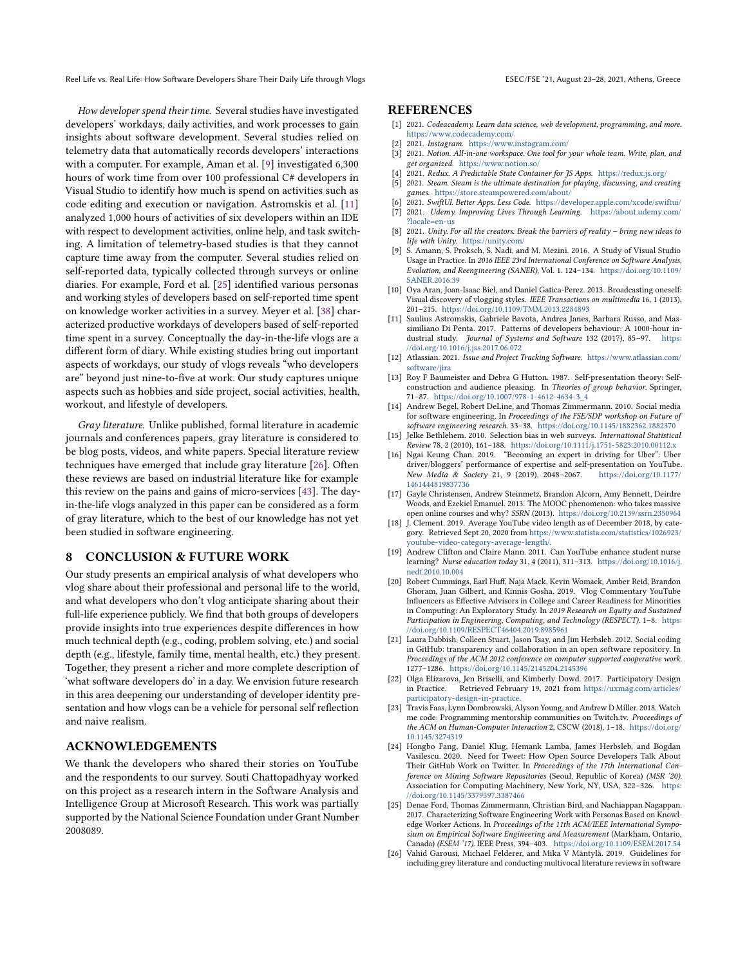Reel Life vs. Real Life: How Software Developers Share Their Daily Life through Vlogs ESEC/FSE '21, August 23-28, 2021, Athens, Greece

How developer spend their time. Several studies have investigated developers' workdays, daily activities, and work processes to gain insights about software development. Several studies relied on telemetry data that automatically records developers' interactions with a computer. For example, Aman et al. [\[9\]](#page-10-22) investigated 6,300 hours of work time from over 100 professional C# developers in Visual Studio to identify how much is spend on activities such as code editing and execution or navigation. Astromskis et al. [\[11\]](#page-10-23) analyzed 1,000 hours of activities of six developers within an IDE with respect to development activities, online help, and task switching. A limitation of telemetry-based studies is that they cannot capture time away from the computer. Several studies relied on self-reported data, typically collected through surveys or online diaries. For example, Ford et al. [\[25\]](#page-10-24) identified various personas and working styles of developers based on self-reported time spent on knowledge worker activities in a survey. Meyer et al. [\[38\]](#page-11-23) characterized productive workdays of developers based of self-reported time spent in a survey. Conceptually the day-in-the-life vlogs are a different form of diary. While existing studies bring out important aspects of workdays, our study of vlogs reveals "who developers are" beyond just nine-to-five at work. Our study captures unique aspects such as hobbies and side project, social activities, health, workout, and lifestyle of developers.

Gray literature. Unlike published, formal literature in academic journals and conferences papers, gray literature is considered to be blog posts, videos, and white papers. Special literature review techniques have emerged that include gray literature [\[26\]](#page-10-25). Often these reviews are based on industrial literature like for example this review on the pains and gains of micro-services [\[43\]](#page-11-24). The dayin-the-life vlogs analyzed in this paper can be considered as a form of gray literature, which to the best of our knowledge has not yet been studied in software engineering.

## 8 CONCLUSION & FUTURE WORK

Our study presents an empirical analysis of what developers who vlog share about their professional and personal life to the world, and what developers who don't vlog anticipate sharing about their full-life experience publicly. We find that both groups of developers provide insights into true experiences despite differences in how much technical depth (e.g., coding, problem solving, etc.) and social depth (e.g., lifestyle, family time, mental health, etc.) they present. Together, they present a richer and more complete description of 'what software developers do' in a day. We envision future research in this area deepening our understanding of developer identity presentation and how vlogs can be a vehicle for personal self reflection and naive realism.

#### ACKNOWLEDGEMENTS

We thank the developers who shared their stories on YouTube and the respondents to our survey. Souti Chattopadhyay worked on this project as a research intern in the Software Analysis and Intelligence Group at Microsoft Research. This work was partially supported by the National Science Foundation under Grant Number 2008089.

#### **REFERENCES**

- <span id="page-10-6"></span>[1] 2021. Codeacademy. Learn data science, web development, programming, and more. <https://www.codecademy.com/>
- <span id="page-10-8"></span>[2] 2021. Instagram. <https://www.instagram.com/>
- <span id="page-10-4"></span>[3] 2021. Notion. All-in-one workspace. One tool for your whole team. Write, plan, and get organized. <https://www.notion.so/>
- <span id="page-10-5"></span>[4] 2021. Redux. A Predictable State Container for JS Apps. <https://redux.js.org/>
- <span id="page-10-11"></span>[5] 2021. Steam. Steam is the ultimate destination for playing, discussing, and creating games. <https://store.steampowered.com/about/>
- <span id="page-10-9"></span><span id="page-10-7"></span>[6] 2021. SwiftUI. Better Apps. Less Code. <https://developer.apple.com/xcode/swiftui/><br>[7] 2021. Udemy. Improving Lives Through Learning. https://about.udemy.com/ 2021. Udemy. Improving Lives Through Learning. [https://about.udemy.com/](https://about.udemy.com/?locale=en-us)
- <span id="page-10-10"></span>[?locale=en-us](https://about.udemy.com/?locale=en-us) [8] 2021. Unity. For all the creators. Break the barriers of reality – bring new ideas to life with Unity. <https://unity.com/>
- <span id="page-10-22"></span>[9] S. Amann, S. Proksch, S. Nadi, and M. Mezini. 2016. A Study of Visual Studio Usage in Practice. In 2016 IEEE 23rd International Conference on Software Analysis, Evolution, and Reengineering (SANER), Vol. 1. 124–134. [https://doi.org/10.1109/](https://doi.org/10.1109/SANER.2016.39) [SANER.2016.39](https://doi.org/10.1109/SANER.2016.39)
- <span id="page-10-0"></span>[10] Oya Aran, Joan-Isaac Biel, and Daniel Gatica-Perez. 2013. Broadcasting oneself: Visual discovery of vlogging styles. IEEE Transactions on multimedia 16, 1 (2013), 201–215. <https://doi.org/10.1109/TMM.2013.2284893>
- <span id="page-10-23"></span>[11] Saulius Astromskis, Gabriele Bavota, Andrea Janes, Barbara Russo, and Massimiliano Di Penta. 2017. Patterns of developers behaviour: A 1000-hour industrial study. Journal of Systems and Software 132 (2017), 85-97. [https:](https://doi.org/10.1016/j.jss.2017.06.072) [//doi.org/10.1016/j.jss.2017.06.072](https://doi.org/10.1016/j.jss.2017.06.072)
- <span id="page-10-3"></span>[12] Atlassian. 2021. Issue and Project Tracking Software. [https://www.atlassian.com/](https://www.atlassian.com/software/jira) [software/jira](https://www.atlassian.com/software/jira)
- <span id="page-10-12"></span>[13] Roy F Baumeister and Debra G Hutton. 1987. Self-presentation theory: Selfconstruction and audience pleasing. In Theories of group behavior. Springer, 71–87. [https://doi.org/10.1007/978-1-4612-4634-3\\_4](https://doi.org/10.1007/978-1-4612-4634-3_4)
- <span id="page-10-18"></span>[14] Andrew Begel, Robert DeLine, and Thomas Zimmermann. 2010. Social media for software engineering. In Proceedings of the FSE/SDP workshop on Future of software engineering research. 33–38. <https://doi.org/10.1145/1882362.1882370>
- <span id="page-10-14"></span>[15] Jelke Bethlehem. 2010. Selection bias in web surveys. International Statistical Review 78, 2 (2010), 161–188. <https://doi.org/10.1111/j.1751-5823.2010.00112.x>
- <span id="page-10-15"></span>[16] Ngai Keung Chan. 2019. "Becoming an expert in driving for Uber": Uber driver/bloggers' performance of expertise and self-presentation on YouTube. New Media & Society 21, 9 (2019), 2048–2067. [https://doi.org/10.1177/](https://doi.org/10.1177/1461444819837736) [1461444819837736](https://doi.org/10.1177/1461444819837736)
- <span id="page-10-17"></span>[17] Gayle Christensen, Andrew Steinmetz, Brandon Alcorn, Amy Bennett, Deirdre Woods, and Ezekiel Emanuel. 2013. The MOOC phenomenon: who takes massive open online courses and why? SSRN (2013). <https://doi.org/10.2139/ssrn.2350964>
- <span id="page-10-1"></span>[18] J. Clement. 2019. Average YouTube video length as of December 2018, by category. Retrieved Sept 20, 2020 from [https://www.statista.com/statistics/1026923/](https://www.statista.com/statistics/1026923/youtube-video-category-average-length/) [youtube-video-category-average-length/.](https://www.statista.com/statistics/1026923/youtube-video-category-average-length/)
- <span id="page-10-16"></span>[19] Andrew Clifton and Claire Mann. 2011. Can YouTube enhance student nurse learning? Nurse education today 31, 4 (2011), 311–313. [https://doi.org/10.1016/j.](https://doi.org/10.1016/j.nedt.2010.10.004) [nedt.2010.10.004](https://doi.org/10.1016/j.nedt.2010.10.004)
- <span id="page-10-13"></span>[20] Robert Cummings, Earl Huff, Naja Mack, Kevin Womack, Amber Reid, Brandon Ghoram, Juan Gilbert, and Kinnis Gosha. 2019. Vlog Commentary YouTube Influencers as Effective Advisors in College and Career Readiness for Minorities in Computing: An Exploratory Study. In 2019 Research on Equity and Sustained Participation in Engineering, Computing, and Technology (RESPECT). 1–8. [https:](https://doi.org/10.1109/RESPECT46404.2019.8985961) [//doi.org/10.1109/RESPECT46404.2019.8985961](https://doi.org/10.1109/RESPECT46404.2019.8985961)
- <span id="page-10-19"></span>[21] Laura Dabbish, Colleen Stuart, Jason Tsay, and Jim Herbsleb. 2012. Social coding in GitHub: transparency and collaboration in an open software repository. In Proceedings of the ACM 2012 conference on computer supported cooperative work. 1277–1286. <https://doi.org/10.1145/2145204.2145396>
- <span id="page-10-2"></span>[22] Olga Elizarova, Jen Briselli, and Kimberly Dowd. 2017. Participatory Design in Practice. Retrieved February 19, 2021 from [https://uxmag.com/articles/](https://uxmag.com/articles/participatory-design-in-practice) [participatory-design-in-practice.](https://uxmag.com/articles/participatory-design-in-practice)
- <span id="page-10-21"></span>[23] Travis Faas, Lynn Dombrowski, Alyson Young, and Andrew D Miller. 2018. Watch me code: Programming mentorship communities on Twitch.tv. Proceedings of the ACM on Human-Computer Interaction 2, CSCW (2018), 1-18. [https://doi.org/](https://doi.org/10.1145/3274319) [10.1145/3274319](https://doi.org/10.1145/3274319)
- <span id="page-10-20"></span>[24] Hongbo Fang, Daniel Klug, Hemank Lamba, James Herbsleb, and Bogdan Vasilescu. 2020. Need for Tweet: How Open Source Developers Talk About Their GitHub Work on Twitter. In Proceedings of the 17th International Conference on Mining Software Repositories (Seoul, Republic of Korea) (MSR '20). Association for Computing Machinery, New York, NY, USA, 322–326. [https:](https://doi.org/10.1145/3379597.3387466) [//doi.org/10.1145/3379597.3387466](https://doi.org/10.1145/3379597.3387466)
- <span id="page-10-24"></span>[25] Denae Ford, Thomas Zimmermann, Christian Bird, and Nachiappan Nagappan. 2017. Characterizing Software Engineering Work with Personas Based on Knowledge Worker Actions. In Proceedings of the 11th ACM/IEEE International Symposium on Empirical Software Engineering and Measurement (Markham, Ontario, Canada) (ESEM '17). IEEE Press, 394–403. <https://doi.org/10.1109/ESEM.2017.54>
- <span id="page-10-25"></span>[26] Vahid Garousi, Michael Felderer, and Mika V Mäntylä. 2019. Guidelines for including grey literature and conducting multivocal literature reviews in software